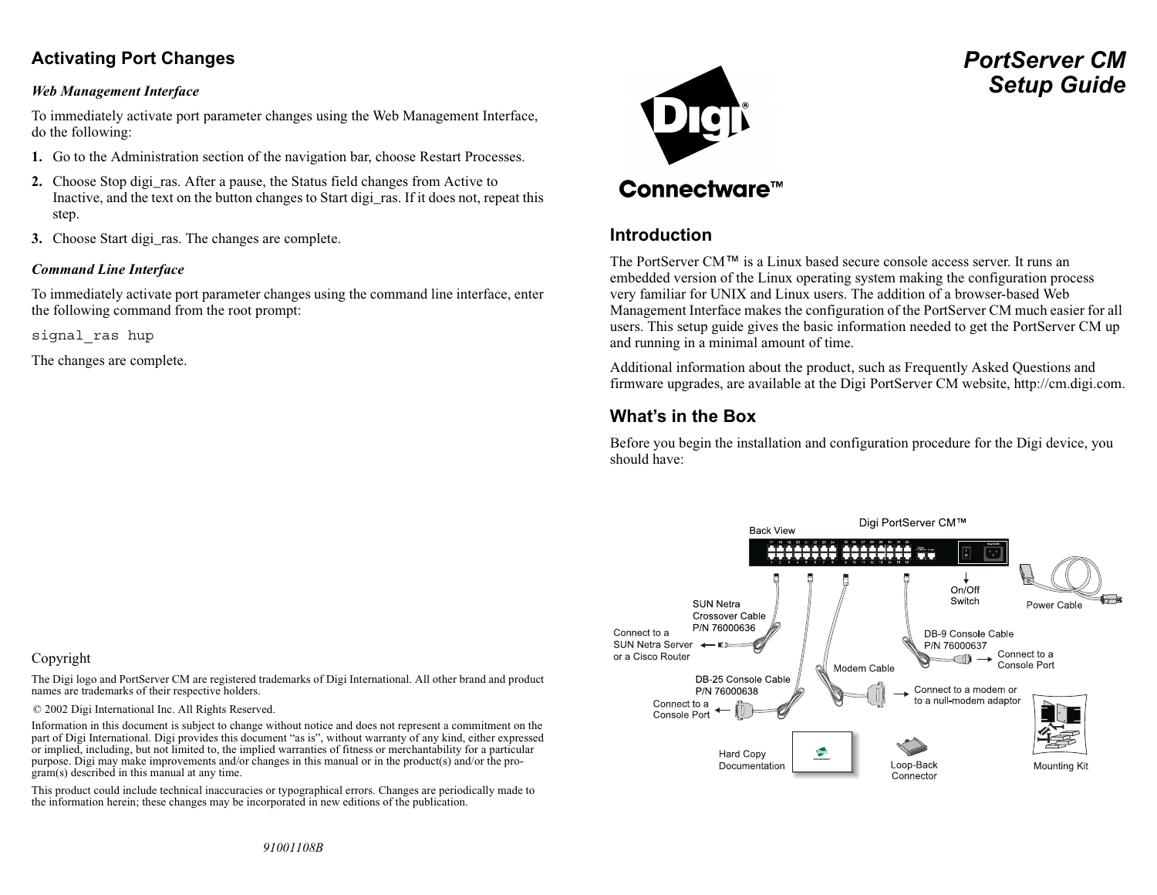### **Activating Port Changes**

#### *Web Management Interface*

To immediately activate port parameter changes using the Web Management Interface, do the following:

- **1.** Go to the Administration section of the navigation bar, choose Restart Processes.
- **2.** Choose Stop digi\_ras. After a pause, the Status field changes from Active to Inactive, and the text on the button changes to Start digi\_ras. If it does not, repeat this step.
- **3.** Choose Start digi\_ras. The changes are complete.

#### *Command Line Interface*

To immediately activate port parameter changes using the command line interface, enter the following command from the root prompt:

signal\_ras hup

The changes are complete.

# **Connectware™**

### **Introduction**

The PortServer CM™ is a Linux based secure console access server. It runs an embedded version of the Linux operating system making the configuration process very familiar for UNIX and Linux users. The addition of a browser-based Web Management Interface makes the configuration of the PortServer CM much easier for all users. This setup guide gives the basic information needed to get the PortServer CM up and running in a minimal amount of time.

Additional information about the product, such as Frequently Asked Questions and firmware upgrades, are available at the Digi PortServer CM website, http://cm.digi.com.

### **What's in the Box**

Before you begin the installation and configuration procedure for the Digi device, you should have:



#### Copyright

The Digi logo and PortServer CM are registered trademarks of Digi International. All other brand and product names are trademarks of their respective holders.

© 2002 Digi International Inc. All Rights Reserved.

Information in this document is subject to change without notice and does not represent a commitment on the part of Digi International. Digi provides this document "as is", without warranty of any kind, either expressed or implied, including, but not limited to, the implied warranties of fitness or merchantability for a particular purpose. Digi may make improvements and/or changes in this manual or in the product(s) and/or the program(s) described in this manual at any time.

This product could include technical inaccuracies or typographical errors. Changes are periodically made to the information herein; these changes may be incorporated in new editions of the publication.

*PortServer CMSetup Guide*